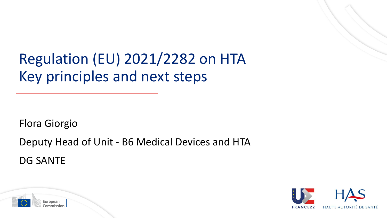Regulation (EU) 2021/2282 on HTA Key principles and next steps

Flora Giorgio

Deputy Head of Unit - B6 Medical Devices and HTA

DG SANTE



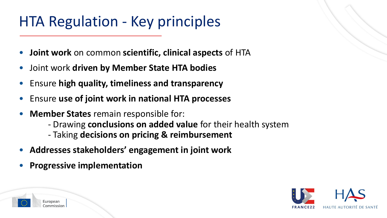## HTA Regulation - Key principles

- **Joint work** on common **scientific, clinical aspects** of HTA
- Joint work **driven by Member State HTA bodies**
- Ensure **high quality, timeliness and transparency**
- Ensure **use of joint work in national HTA processes**
- **Member States** remain responsible for:
	- Drawing **conclusions on added value** for their health system
	- Taking **decisions on pricing & reimbursement**
- **Addresses stakeholders' engagement in joint work**
- **Progressive implementation**

European

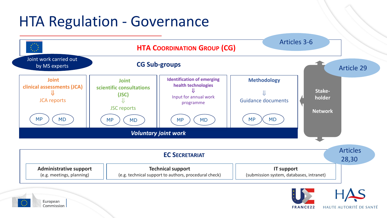## HTA Regulation - Governance